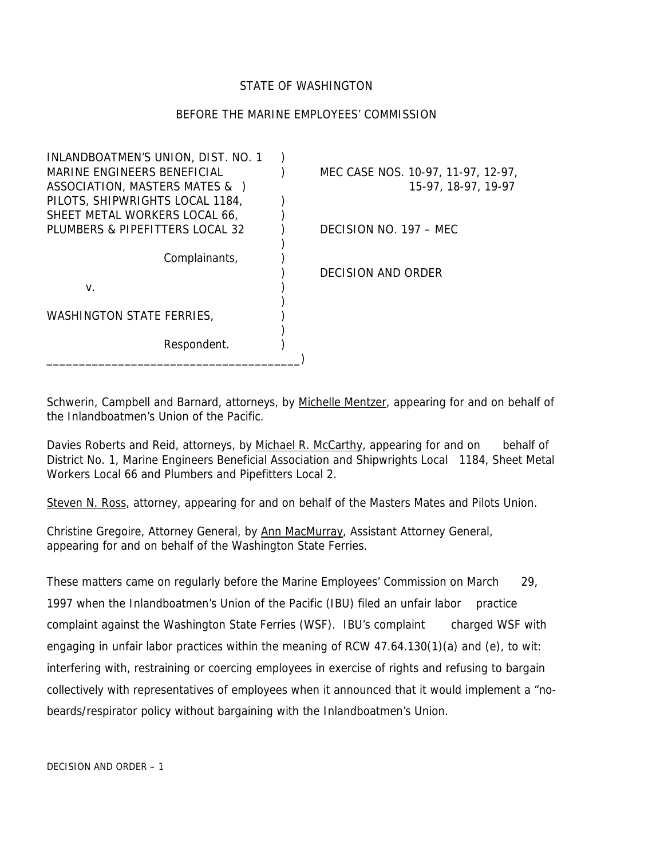#### STATE OF WASHINGTON

#### BEFORE THE MARINE EMPLOYEES' COMMISSION

| INLANDBOATMEN'S UNION, DIST. NO. 1 |                                    |
|------------------------------------|------------------------------------|
| MARINE ENGINEERS BENEFICIAL        | MEC CASE NOS. 10-97, 11-97, 12-97, |
| ASSOCIATION, MASTERS MATES & )     | 15-97, 18-97, 19-97                |
| PILOTS, SHIPWRIGHTS LOCAL 1184,    |                                    |
| SHEET METAL WORKERS LOCAL 66,      |                                    |
| PLUMBERS & PIPEFITTERS LOCAL 32    | DECISION NO. $197 - MFC$           |
|                                    |                                    |
| Complainants,                      |                                    |
|                                    | DECISION AND ORDER                 |
| V.                                 |                                    |
|                                    |                                    |
| <b>WASHINGTON STATE FERRIES,</b>   |                                    |
|                                    |                                    |
| Respondent.                        |                                    |
|                                    |                                    |

Schwerin, Campbell and Barnard, attorneys, by Michelle Mentzer, appearing for and on behalf of the Inlandboatmen's Union of the Pacific.

Davies Roberts and Reid, attorneys, by Michael R. McCarthy, appearing for and on behalf of District No. 1, Marine Engineers Beneficial Association and Shipwrights Local 1184, Sheet Metal Workers Local 66 and Plumbers and Pipefitters Local 2.

Steven N. Ross, attorney, appearing for and on behalf of the Masters Mates and Pilots Union.

Christine Gregoire, Attorney General, by Ann MacMurray, Assistant Attorney General, appearing for and on behalf of the Washington State Ferries.

These matters came on regularly before the Marine Employees' Commission on March 29, 1997 when the Inlandboatmen's Union of the Pacific (IBU) filed an unfair labor practice complaint against the Washington State Ferries (WSF). IBU's complaint charged WSF with engaging in unfair labor practices within the meaning of RCW 47.64.130(1)(a) and (e), to wit: interfering with, restraining or coercing employees in exercise of rights and refusing to bargain collectively with representatives of employees when it announced that it would implement a "nobeards/respirator policy without bargaining with the Inlandboatmen's Union.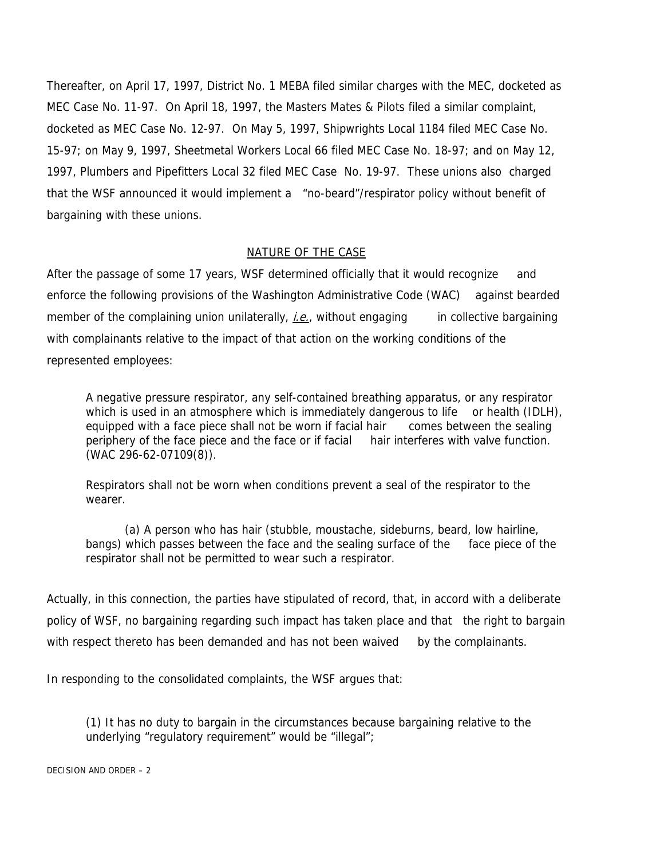Thereafter, on April 17, 1997, District No. 1 MEBA filed similar charges with the MEC, docketed as MEC Case No. 11-97. On April 18, 1997, the Masters Mates & Pilots filed a similar complaint, docketed as MEC Case No. 12-97. On May 5, 1997, Shipwrights Local 1184 filed MEC Case No. 15-97; on May 9, 1997, Sheetmetal Workers Local 66 filed MEC Case No. 18-97; and on May 12, 1997, Plumbers and Pipefitters Local 32 filed MEC Case No. 19-97. These unions also charged that the WSF announced it would implement a "no-beard"/respirator policy without benefit of bargaining with these unions.

# NATURE OF THE CASE

After the passage of some 17 years, WSF determined officially that it would recognize and enforce the following provisions of the Washington Administrative Code (WAC) against bearded member of the complaining union unilaterally,  $i.e.,$  without engaging in collective bargaining with complainants relative to the impact of that action on the working conditions of the represented employees:

A negative pressure respirator, any self-contained breathing apparatus, or any respirator which is used in an atmosphere which is immediately dangerous to life or health (IDLH), equipped with a face piece shall not be worn if facial hair comes between the sealing periphery of the face piece and the face or if facial hair interferes with valve function. (WAC 296-62-07109(8)).

Respirators shall not be worn when conditions prevent a seal of the respirator to the wearer.

(a) A person who has hair (stubble, moustache, sideburns, beard, low hairline, bangs) which passes between the face and the sealing surface of the face piece of the respirator shall not be permitted to wear such a respirator.

Actually, in this connection, the parties have stipulated of record, that, in accord with a deliberate policy of WSF, no bargaining regarding such impact has taken place and that the right to bargain with respect thereto has been demanded and has not been waived by the complainants.

In responding to the consolidated complaints, the WSF argues that:

(1) It has no duty to bargain in the circumstances because bargaining relative to the underlying "regulatory requirement" would be "illegal";

DECISION AND ORDER – 2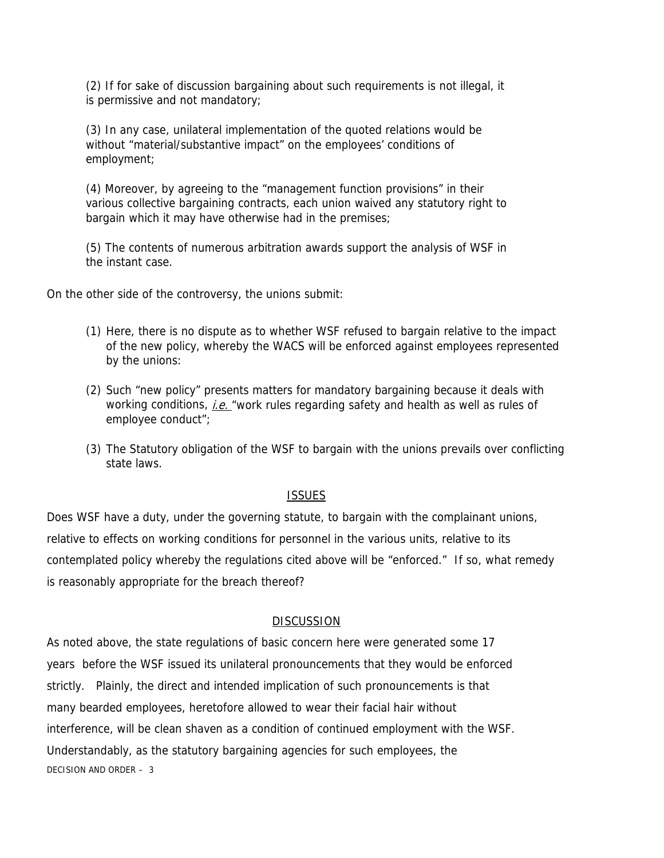(2) If for sake of discussion bargaining about such requirements is not illegal, it is permissive and not mandatory;

(3) In any case, unilateral implementation of the quoted relations would be without "material/substantive impact" on the employees' conditions of employment;

(4) Moreover, by agreeing to the "management function provisions" in their various collective bargaining contracts, each union waived any statutory right to bargain which it may have otherwise had in the premises;

(5) The contents of numerous arbitration awards support the analysis of WSF in the instant case.

On the other side of the controversy, the unions submit:

- (1) Here, there is no dispute as to whether WSF refused to bargain relative to the impact of the new policy, whereby the WACS will be enforced against employees represented by the unions:
- (2) Such "new policy" presents matters for mandatory bargaining because it deals with working conditions, *i.e.* "work rules regarding safety and health as well as rules of employee conduct";
- (3) The Statutory obligation of the WSF to bargain with the unions prevails over conflicting state laws.

#### ISSUES

Does WSF have a duty, under the governing statute, to bargain with the complainant unions, relative to effects on working conditions for personnel in the various units, relative to its contemplated policy whereby the regulations cited above will be "enforced." If so, what remedy is reasonably appropriate for the breach thereof?

# **DISCUSSION**

As noted above, the state regulations of basic concern here were generated some 17 years before the WSF issued its unilateral pronouncements that they would be enforced strictly. Plainly, the direct and intended implication of such pronouncements is that many bearded employees, heretofore allowed to wear their facial hair without interference, will be clean shaven as a condition of continued employment with the WSF. Understandably, as the statutory bargaining agencies for such employees, the DECISION AND ORDER – 3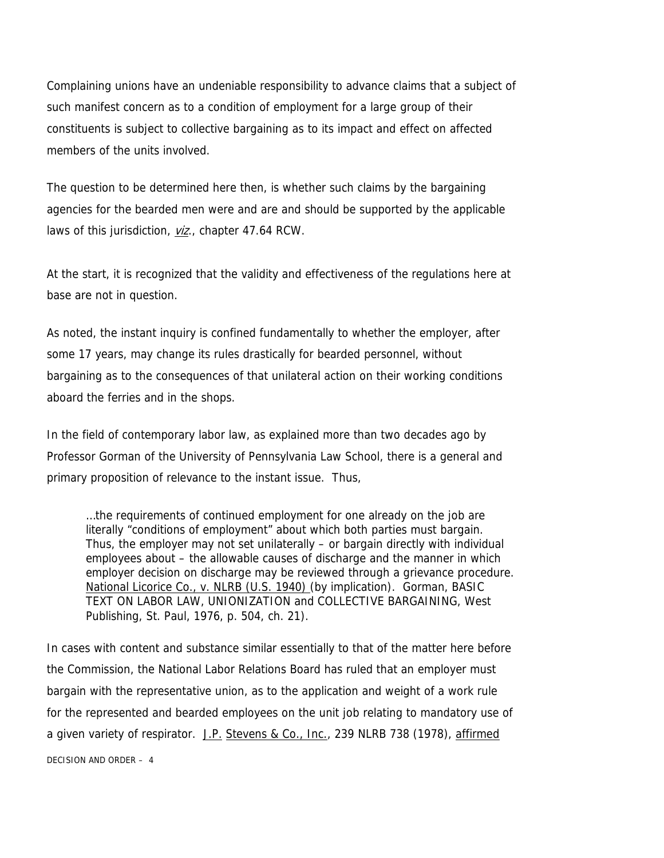Complaining unions have an undeniable responsibility to advance claims that a subject of such manifest concern as to a condition of employment for a large group of their constituents is subject to collective bargaining as to its impact and effect on affected members of the units involved.

The question to be determined here then, is whether such claims by the bargaining agencies for the bearded men were and are and should be supported by the applicable laws of this jurisdiction, *viz.*, chapter 47.64 RCW.

At the start, it is recognized that the validity and effectiveness of the regulations here at base are not in question.

As noted, the instant inquiry is confined fundamentally to whether the employer, after some 17 years, may change its rules drastically for bearded personnel, without bargaining as to the consequences of that unilateral action on their working conditions aboard the ferries and in the shops.

In the field of contemporary labor law, as explained more than two decades ago by Professor Gorman of the University of Pennsylvania Law School, there is a general and primary proposition of relevance to the instant issue. Thus,

…the requirements of continued employment for one already on the job are literally "conditions of employment" about which both parties must bargain. Thus, the employer may not set unilaterally – or bargain directly with individual employees about – the allowable causes of discharge and the manner in which employer decision on discharge may be reviewed through a grievance procedure. National Licorice Co., v. NLRB (U.S. 1940) (by implication). Gorman, BASIC TEXT ON LABOR LAW, UNIONIZATION and COLLECTIVE BARGAINING, West Publishing, St. Paul, 1976, p. 504, ch. 21).

In cases with content and substance similar essentially to that of the matter here before the Commission, the National Labor Relations Board has ruled that an employer must bargain with the representative union, as to the application and weight of a work rule for the represented and bearded employees on the unit job relating to mandatory use of a given variety of respirator. J.P. Stevens & Co., Inc., 239 NLRB 738 (1978), affirmed DECISION AND ORDER – 4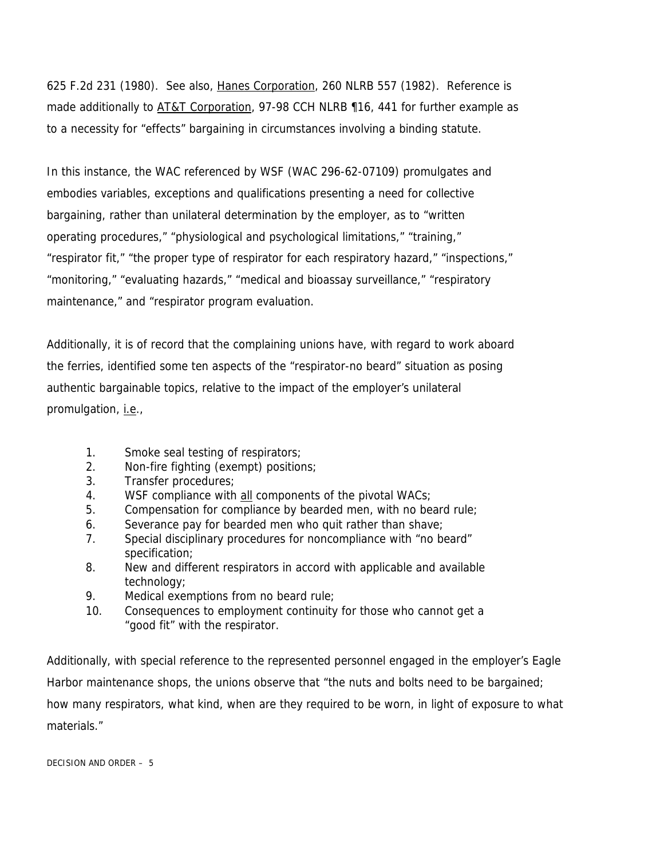625 F.2d 231 (1980). See also, Hanes Corporation, 260 NLRB 557 (1982). Reference is made additionally to AT&T Corporation, 97-98 CCH NLRB 116, 441 for further example as to a necessity for "effects" bargaining in circumstances involving a binding statute.

In this instance, the WAC referenced by WSF (WAC 296-62-07109) promulgates and embodies variables, exceptions and qualifications presenting a need for collective bargaining, rather than unilateral determination by the employer, as to "written operating procedures," "physiological and psychological limitations," "training," "respirator fit," "the proper type of respirator for each respiratory hazard," "inspections," "monitoring," "evaluating hazards," "medical and bioassay surveillance," "respiratory maintenance," and "respirator program evaluation.

Additionally, it is of record that the complaining unions have, with regard to work aboard the ferries, identified some ten aspects of the "respirator-no beard" situation as posing authentic bargainable topics, relative to the impact of the employer's unilateral promulgation, *i.e.*,

- 1. Smoke seal testing of respirators;
- 2. Non-fire fighting (exempt) positions;
- 3. Transfer procedures;
- 4. WSF compliance with all components of the pivotal WACs;
- 5. Compensation for compliance by bearded men, with no beard rule;
- 6. Severance pay for bearded men who quit rather than shave;
- 7. Special disciplinary procedures for noncompliance with "no beard" specification;
- 8. New and different respirators in accord with applicable and available technology;
- 9. Medical exemptions from no beard rule;
- 10. Consequences to employment continuity for those who cannot get a "good fit" with the respirator.

Additionally, with special reference to the represented personnel engaged in the employer's Eagle Harbor maintenance shops, the unions observe that "the nuts and bolts need to be bargained; how many respirators, what kind, when are they required to be worn, in light of exposure to what materials."

DECISION AND ORDER – 5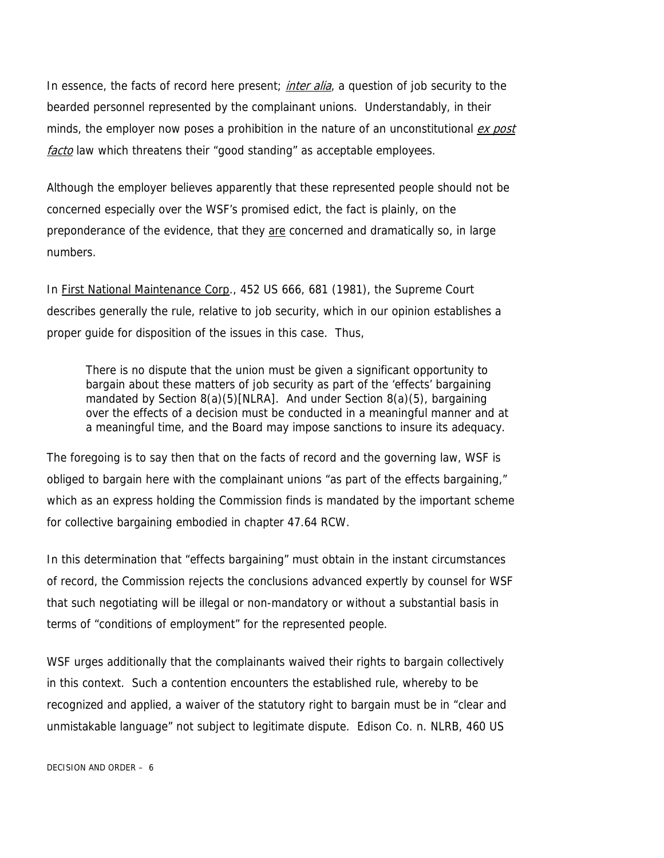In essence, the facts of record here present; *inter alia*, a question of job security to the bearded personnel represented by the complainant unions. Understandably, in their minds, the employer now poses a prohibition in the nature of an unconstitutional *ex post* facto law which threatens their "good standing" as acceptable employees.

Although the employer believes apparently that these represented people should not be concerned especially over the WSF's promised edict, the fact is plainly, on the preponderance of the evidence, that they are concerned and dramatically so, in large numbers.

In First National Maintenance Corp., 452 US 666, 681 (1981), the Supreme Court describes generally the rule, relative to job security, which in our opinion establishes a proper guide for disposition of the issues in this case. Thus,

There is no dispute that the union must be given a significant opportunity to bargain about these matters of job security as part of the 'effects' bargaining mandated by Section 8(a)(5)[NLRA]. And under Section 8(a)(5), bargaining over the effects of a decision must be conducted in a meaningful manner and at a meaningful time, and the Board may impose sanctions to insure its adequacy.

The foregoing is to say then that on the facts of record and the governing law, WSF is obliged to bargain here with the complainant unions "as part of the effects bargaining," which as an express holding the Commission finds is mandated by the important scheme for collective bargaining embodied in chapter 47.64 RCW.

In this determination that "effects bargaining" must obtain in the instant circumstances of record, the Commission rejects the conclusions advanced expertly by counsel for WSF that such negotiating will be illegal or non-mandatory or without a substantial basis in terms of "conditions of employment" for the represented people.

WSF urges additionally that the complainants waived their rights to bargain collectively in this context. Such a contention encounters the established rule, whereby to be recognized and applied, a waiver of the statutory right to bargain must be in "clear and unmistakable language" not subject to legitimate dispute. Edison Co. n. NLRB, 460 US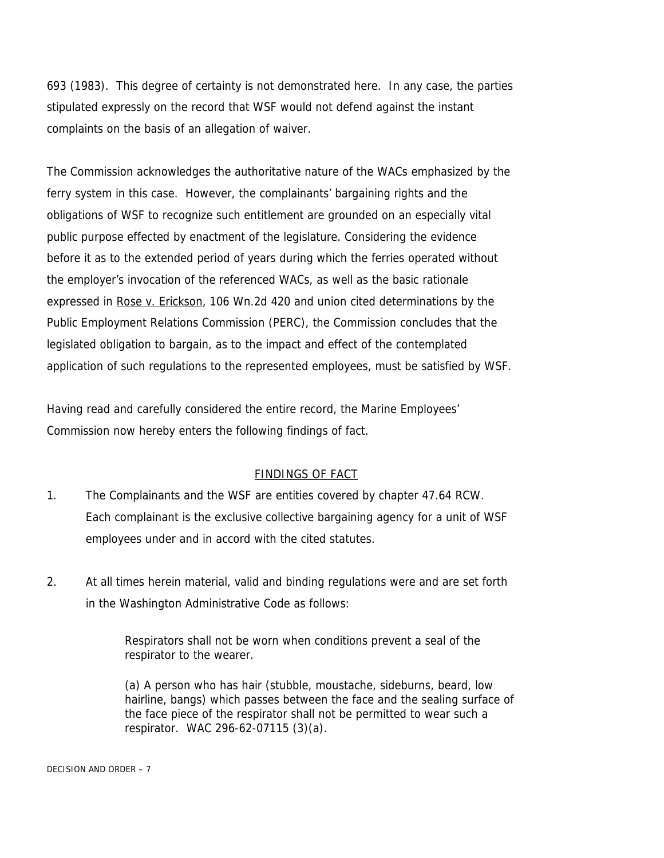693 (1983). This degree of certainty is not demonstrated here. In any case, the parties stipulated expressly on the record that WSF would not defend against the instant complaints on the basis of an allegation of waiver.

The Commission acknowledges the authoritative nature of the WACs emphasized by the ferry system in this case. However, the complainants' bargaining rights and the obligations of WSF to recognize such entitlement are grounded on an especially vital public purpose effected by enactment of the legislature. Considering the evidence before it as to the extended period of years during which the ferries operated without the employer's invocation of the referenced WACs, as well as the basic rationale expressed in Rose v. Erickson, 106 Wn.2d 420 and union cited determinations by the Public Employment Relations Commission (PERC), the Commission concludes that the legislated obligation to bargain, as to the impact and effect of the contemplated application of such regulations to the represented employees, must be satisfied by WSF.

Having read and carefully considered the entire record, the Marine Employees' Commission now hereby enters the following findings of fact.

# FINDINGS OF FACT

- 1. The Complainants and the WSF are entities covered by chapter 47.64 RCW. Each complainant is the exclusive collective bargaining agency for a unit of WSF employees under and in accord with the cited statutes.
- 2. At all times herein material, valid and binding regulations were and are set forth in the Washington Administrative Code as follows:

Respirators shall not be worn when conditions prevent a seal of the respirator to the wearer.

(a) A person who has hair (stubble, moustache, sideburns, beard, low hairline, bangs) which passes between the face and the sealing surface of the face piece of the respirator shall not be permitted to wear such a respirator. WAC 296-62-07115 (3)(a).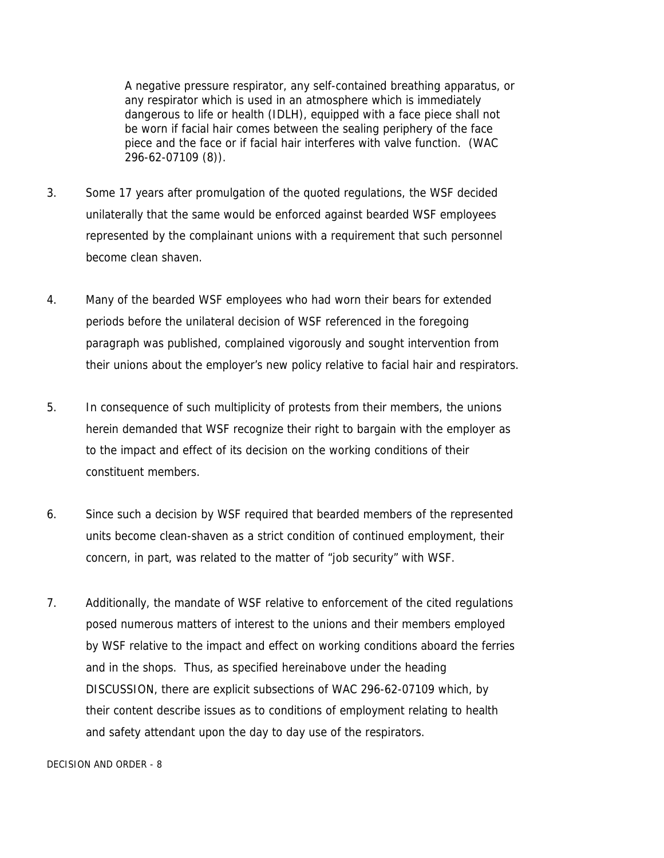A negative pressure respirator, any self-contained breathing apparatus, or any respirator which is used in an atmosphere which is immediately dangerous to life or health (IDLH), equipped with a face piece shall not be worn if facial hair comes between the sealing periphery of the face piece and the face or if facial hair interferes with valve function. (WAC 296-62-07109 (8)).

- 3. Some 17 years after promulgation of the quoted regulations, the WSF decided unilaterally that the same would be enforced against bearded WSF employees represented by the complainant unions with a requirement that such personnel become clean shaven.
- 4. Many of the bearded WSF employees who had worn their bears for extended periods before the unilateral decision of WSF referenced in the foregoing paragraph was published, complained vigorously and sought intervention from their unions about the employer's new policy relative to facial hair and respirators.
- 5. In consequence of such multiplicity of protests from their members, the unions herein demanded that WSF recognize their right to bargain with the employer as to the impact and effect of its decision on the working conditions of their constituent members.
- 6. Since such a decision by WSF required that bearded members of the represented units become clean-shaven as a strict condition of continued employment, their concern, in part, was related to the matter of "job security" with WSF.
- 7. Additionally, the mandate of WSF relative to enforcement of the cited regulations posed numerous matters of interest to the unions and their members employed by WSF relative to the impact and effect on working conditions aboard the ferries and in the shops. Thus, as specified hereinabove under the heading DISCUSSION, there are explicit subsections of WAC 296-62-07109 which, by their content describe issues as to conditions of employment relating to health and safety attendant upon the day to day use of the respirators.

DECISION AND ORDER - 8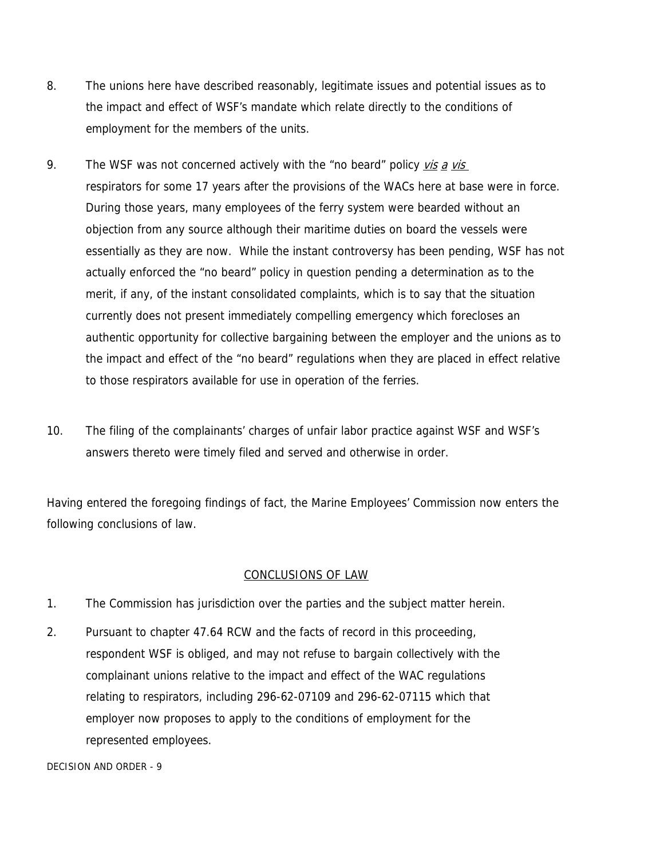- 8. The unions here have described reasonably, legitimate issues and potential issues as to the impact and effect of WSF's mandate which relate directly to the conditions of employment for the members of the units.
- 9. The WSF was not concerned actively with the "no beard" policy vis a vis respirators for some 17 years after the provisions of the WACs here at base were in force. During those years, many employees of the ferry system were bearded without an objection from any source although their maritime duties on board the vessels were essentially as they are now. While the instant controversy has been pending, WSF has not actually enforced the "no beard" policy in question pending a determination as to the merit, if any, of the instant consolidated complaints, which is to say that the situation currently does not present immediately compelling emergency which forecloses an authentic opportunity for collective bargaining between the employer and the unions as to the impact and effect of the "no beard" regulations when they are placed in effect relative to those respirators available for use in operation of the ferries.
- 10. The filing of the complainants' charges of unfair labor practice against WSF and WSF's answers thereto were timely filed and served and otherwise in order.

Having entered the foregoing findings of fact, the Marine Employees' Commission now enters the following conclusions of law.

# CONCLUSIONS OF LAW

- 1. The Commission has jurisdiction over the parties and the subject matter herein.
- 2. Pursuant to chapter 47.64 RCW and the facts of record in this proceeding, respondent WSF is obliged, and may not refuse to bargain collectively with the complainant unions relative to the impact and effect of the WAC regulations relating to respirators, including 296-62-07109 and 296-62-07115 which that employer now proposes to apply to the conditions of employment for the represented employees.

DECISION AND ORDER - 9